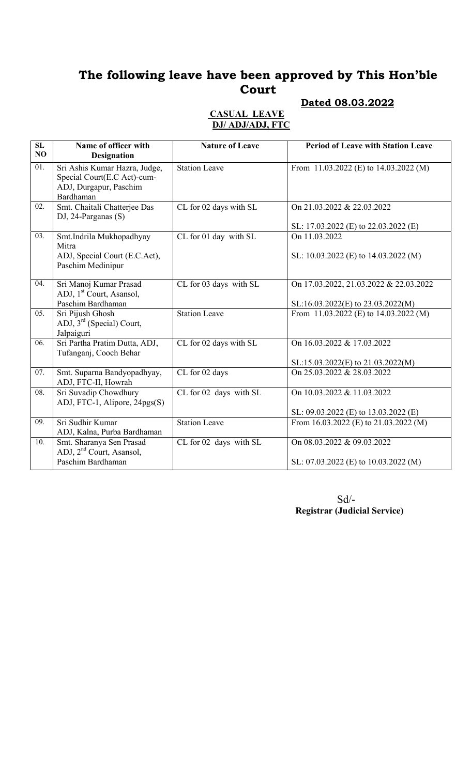### Dated 08.03.2022

| $\overline{{\rm SL}}$<br>NO | Name of officer with<br><b>Designation</b>                                                          | <b>Nature of Leave</b> | <b>Period of Leave with Station Leave</b>                                    |
|-----------------------------|-----------------------------------------------------------------------------------------------------|------------------------|------------------------------------------------------------------------------|
| $\overline{01}$ .           | Sri Ashis Kumar Hazra, Judge,<br>Special Court(E.C Act)-cum-<br>ADJ, Durgapur, Paschim<br>Bardhaman | <b>Station Leave</b>   | From 11.03.2022 (E) to $14.03.2022$ (M)                                      |
| $\overline{02}$ .           | Smt. Chaitali Chatterjee Das<br>DJ, 24-Parganas $(S)$                                               | CL for 02 days with SL | On 21.03.2022 & 22.03.2022<br>SL: 17.03.2022 (E) to 22.03.2022 (E)           |
| $\overline{03}$ .           | Smt.Indrila Mukhopadhyay<br>Mitra<br>ADJ, Special Court (E.C.Act),                                  | CL for 01 day with SL  | On 11.03.2022<br>SL: 10.03.2022 (E) to 14.03.2022 (M)                        |
|                             | Paschim Medinipur                                                                                   |                        |                                                                              |
| 04.                         | Sri Manoj Kumar Prasad<br>ADJ, 1 <sup>st</sup> Court, Asansol,                                      | CL for 03 days with SL | On 17.03.2022, 21.03.2022 & 22.03.2022                                       |
| $\overline{05}$ .           | Paschim Bardhaman<br>Sri Pijush Ghosh<br>ADJ, $3rd$ (Special) Court,<br>Jalpaiguri                  | <b>Station Leave</b>   | SL:16.03.2022(E) to 23.03.2022(M)<br>From 11.03.2022 (E) to $14.03.2022$ (M) |
| $\overline{06}$ .           | Sri Partha Pratim Dutta, ADJ,<br>Tufanganj, Cooch Behar                                             | CL for 02 days with SL | On 16.03.2022 & 17.03.2022<br>SL:15.03.2022(E) to 21.03.2022(M)              |
| 07.                         | Smt. Suparna Bandyopadhyay,<br>ADJ, FTC-II, Howrah                                                  | CL for 02 days         | On 25.03.2022 & 28.03.2022                                                   |
| $\overline{08}$ .           | Sri Suvadip Chowdhury<br>ADJ, FTC-1, Alipore, 24pgs(S)                                              | CL for 02 days with SL | On 10.03.2022 & 11.03.2022<br>SL: 09.03.2022 (E) to 13.03.2022 (E)           |
| $\overline{09}$ .           | Sri Sudhir Kumar<br>ADJ, Kalna, Purba Bardhaman                                                     | <b>Station Leave</b>   | From 16.03.2022 (E) to 21.03.2022 (M)                                        |
| 10.                         | Smt. Sharanya Sen Prasad<br>ADJ, 2 <sup>nd</sup> Court, Asansol,                                    | CL for 02 days with SL | On 08.03.2022 & 09.03.2022                                                   |
|                             | Paschim Bardhaman                                                                                   |                        | SL: 07.03.2022 (E) to 10.03.2022 (M)                                         |

### CASUAL LEAVE DJ/ ADJ/ADJ, FTC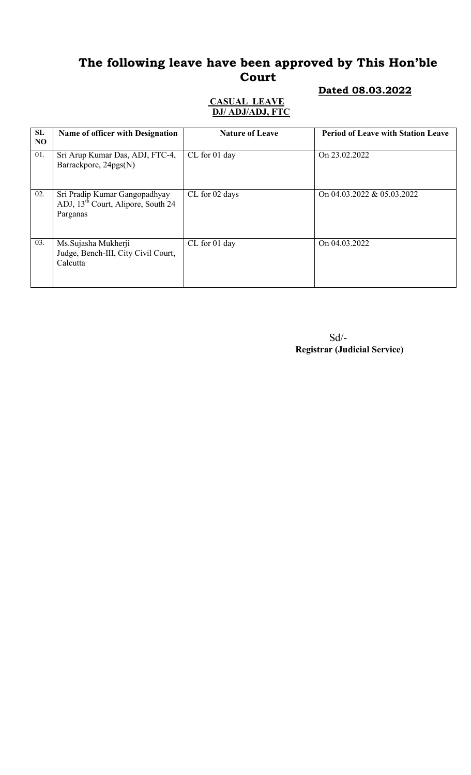### Dated 08.03.2022

#### CASUAL LEAVE DJ/ ADJ/ADJ, FTC

| SL<br>N <sub>O</sub> | <b>Name of officer with Designation</b>                                                     | <b>Nature of Leave</b> | <b>Period of Leave with Station Leave</b> |
|----------------------|---------------------------------------------------------------------------------------------|------------------------|-------------------------------------------|
| 01.                  | Sri Arup Kumar Das, ADJ, FTC-4,<br>Barrackpore, 24pgs(N)                                    | CL for 01 day          | On 23.02.2022                             |
| 02.                  | Sri Pradip Kumar Gangopadhyay<br>ADJ, 13 <sup>th</sup> Court, Alipore, South 24<br>Parganas | CL for 02 days         | On 04.03.2022 & 05.03.2022                |
| 03.                  | Ms. Sujasha Mukherji<br>Judge, Bench-III, City Civil Court,<br>Calcutta                     | CL for 01 day          | On 04.03.2022                             |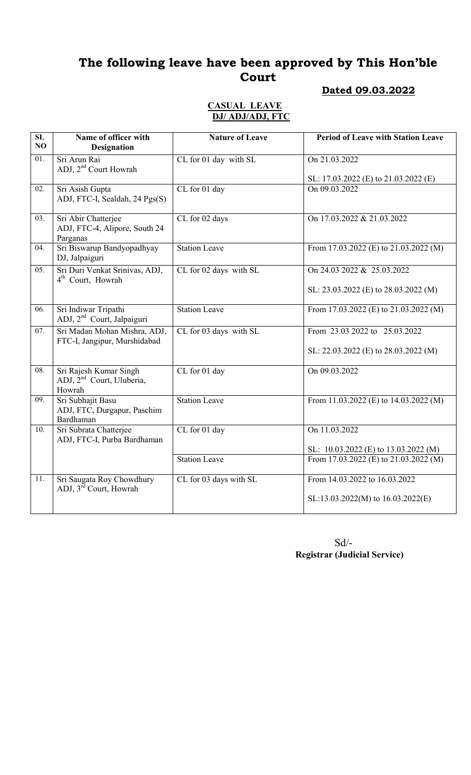#### Dated 09.03.2022

#### CASUAL LEAVE DJ/ ADJ/ADJ, FTC

| $\overline{\text{SL}}$<br>NO | Name of officer with<br><b>Designation</b>                                | <b>Nature of Leave</b> | <b>Period of Leave with Station Leave</b>                             |
|------------------------------|---------------------------------------------------------------------------|------------------------|-----------------------------------------------------------------------|
| $\overline{01}$ .            | Sri Arun Rai<br>ADJ, 2 <sup>nd</sup> Court Howrah                         | CL for 01 day with SL  | On 21.03.2022<br>SL: 17.03.2022 (E) to 21.03.2022 (E)                 |
| 02.                          | Sri Asish Gupta<br>ADJ, FTC-I, Sealdah, 24 Pgs(S)                         | CL for 01 day          | On 09.03.2022                                                         |
| 03.                          | Sri Abir Chatterjee<br>ADJ, FTC-4, Alipore, South 24<br>Parganas          | CL for 02 days         | On 17.03.2022 & 21.03.2022                                            |
| 04.                          | Sri Biswarup Bandyopadhyay<br>DJ, Jalpaiguri                              | <b>Station Leave</b>   | From 17.03.2022 (E) to 21.03.2022 (M)                                 |
| 05.                          | Sri Duri Venkat Srinivas, ADJ,<br>4 <sup>th</sup> Court, Howrah           | CL for 02 days with SL | On 24.03 2022 & 25.03.2022<br>SL: 23.03.2022 (E) to 28.03.2022 (M)    |
| 06.                          | Sri Indiwar Tripathi<br>ADJ, 2 <sup>nd</sup> Court, Jalpaiguri            | <b>Station Leave</b>   | From 17.03.2022 (E) to 21.03.2022 (M)                                 |
| 07.                          | Sri Madan Mohan Mishra, ADJ,<br>FTC-I, Jangipur, Murshidabad              | CL for 03 days with SL | From 23.03 2022 to 25.03.2022<br>SL: 22.03.2022 (E) to 28.03.2022 (M) |
| 08.                          | Sri Rajesh Kumar Singh<br>ADJ, 2 <sup>nd</sup> Court, Uluberia,<br>Howrah | CL for 01 day          | On 09.03.2022                                                         |
| 09.                          | Sri Subhajit Basu<br>ADJ, FTC, Durgapur, Paschim<br>Bardhaman             | <b>Station Leave</b>   | From 11.03.2022 (E) to 14.03.2022 (M)                                 |
| 10.                          | Sri Subrata Chatterjee<br>ADJ, FTC-I, Purba Bardhaman                     | CL for 01 day          | On 11.03.2022<br>SL: 10.03.2022 (E) to 13.03.2022 (M)                 |
|                              |                                                                           | <b>Station Leave</b>   | From 17.03.2022 (E) to $21.03.2022$ (M)                               |
| 11.                          | Sri Saugata Roy Chowdhury<br>ADJ, 3 <sup>rd</sup> Court, Howrah           | CL for 03 days with SL | From 14.03.2022 to 16.03.2022<br>SL:13.03.2022(M) to 16.03.2022(E)    |

Sd/- Registrar (Judicial Service)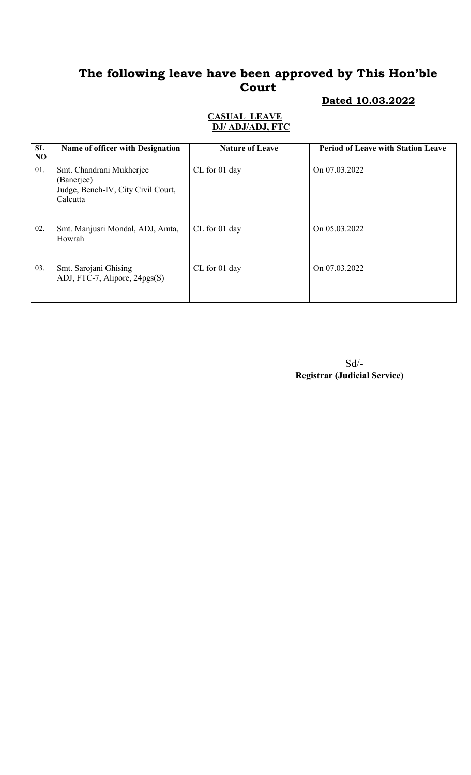#### Dated 10.03.2022

#### CASUAL LEAVE DJ/ ADJ/ADJ, FTC

| SL<br>N <sub>O</sub> | Name of officer with Designation                                                         | <b>Nature of Leave</b> | <b>Period of Leave with Station Leave</b> |
|----------------------|------------------------------------------------------------------------------------------|------------------------|-------------------------------------------|
| 01.                  | Smt. Chandrani Mukherjee<br>(Banerjee)<br>Judge, Bench-IV, City Civil Court,<br>Calcutta | CL for 01 day          | On 07.03.2022                             |
| 02.                  | Smt. Manjusri Mondal, ADJ, Amta,<br>Howrah                                               | CL for 01 day          | On 05.03.2022                             |
| 03.                  | Smt. Sarojani Ghising<br>ADJ, FTC-7, Alipore, 24pgs(S)                                   | CL for 01 day          | On 07.03.2022                             |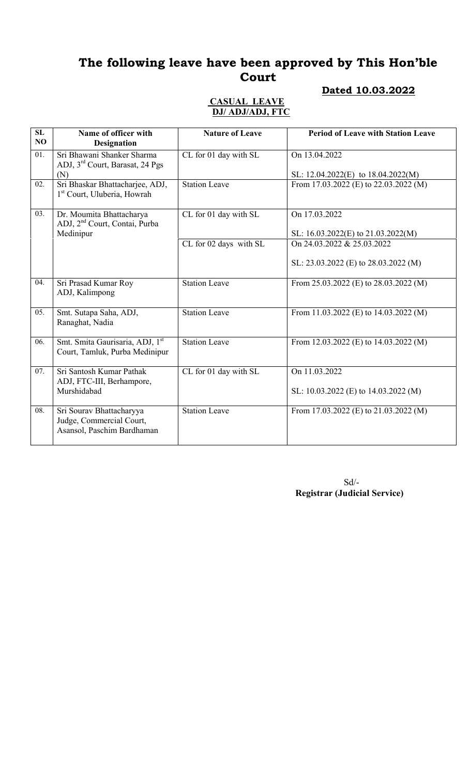### Dated 10.03.2022

#### CASUAL LEAVE DJ/ ADJ/ADJ, FTC

| SL<br>NO | Name of officer with<br><b>Designation</b>                                         | <b>Nature of Leave</b>  | <b>Period of Leave with Station Leave</b>                                       |
|----------|------------------------------------------------------------------------------------|-------------------------|---------------------------------------------------------------------------------|
| 01.      | Sri Bhawani Shanker Sharma<br>ADJ, 3 <sup>rd</sup> Court, Barasat, 24 Pgs          | CL for 01 day with SL   | On 13.04.2022                                                                   |
| 02.      | (N)<br>Sri Bhaskar Bhattacharjee, ADJ,<br>1 <sup>st</sup> Court, Uluberia, Howrah  | <b>Station Leave</b>    | SL: $12.04.2022(E)$ to $18.04.2022(M)$<br>From 17.03.2022 (E) to 22.03.2022 (M) |
| 03.      | Dr. Moumita Bhattacharya<br>ADJ, 2 <sup>nd</sup> Court, Contai, Purba<br>Medinipur | CL for 01 day with SL   | On 17.03.2022<br>SL: 16.03.2022(E) to 21.03.2022(M)                             |
|          |                                                                                    | CL for 02 days with SL  | On 24.03.2022 & 25.03.2022<br>SL: 23.03.2022 (E) to 28.03.2022 (M)              |
| 04.      | Sri Prasad Kumar Roy<br>ADJ, Kalimpong                                             | <b>Station Leave</b>    | From 25.03.2022 (E) to 28.03.2022 (M)                                           |
| 05.      | Smt. Sutapa Saha, ADJ,<br>Ranaghat, Nadia                                          | <b>Station Leave</b>    | From 11.03.2022 (E) to $14.03.2022$ (M)                                         |
| 06.      | Smt. Smita Gaurisaria, ADJ, 1st<br>Court, Tamluk, Purba Medinipur                  | <b>Station Leave</b>    | From 12.03.2022 (E) to 14.03.2022 (M)                                           |
| 07.      | Sri Santosh Kumar Pathak<br>ADJ, FTC-III, Berhampore,<br>Murshidabad               | $CL$ for 01 day with SL | On 11.03.2022<br>SL: $10.03.2022$ (E) to $14.03.2022$ (M)                       |
| 08.      | Sri Sourav Bhattacharyya<br>Judge, Commercial Court,<br>Asansol, Paschim Bardhaman | <b>Station Leave</b>    | From 17.03.2022 (E) to 21.03.2022 (M)                                           |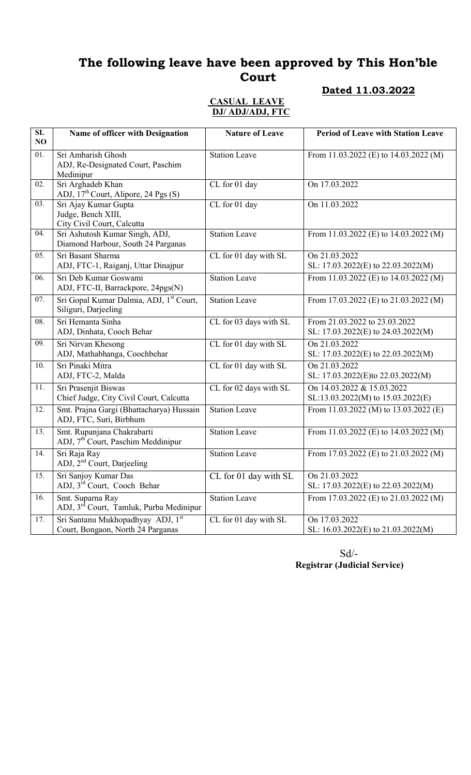#### Dated 11.03.2022

#### CASUAL LEAVE DJ/ ADJ/ADJ, FTC

| $\overline{\text{SL}}$<br>NO | Name of officer with Designation                                             | <b>Nature of Leave</b> | <b>Period of Leave with Station Leave</b>                           |
|------------------------------|------------------------------------------------------------------------------|------------------------|---------------------------------------------------------------------|
| 01.                          | Sri Ambarish Ghosh<br>ADJ, Re-Designated Court, Paschim<br>Medinipur         | <b>Station Leave</b>   | From 11.03.2022 (E) to 14.03.2022 (M)                               |
| 02.                          | Sri Arghadeb Khan<br>ADJ, 17 <sup>th</sup> Court, Alipore, 24 Pgs (S)        | CL for 01 day          | On 17.03.2022                                                       |
| 03.                          | Sri Ajay Kumar Gupta<br>Judge, Bench XIII,<br>City Civil Court, Calcutta     | CL for 01 day          | On 11.03.2022                                                       |
| 04.                          | Sri Ashutosh Kumar Singh, ADJ,<br>Diamond Harbour, South 24 Parganas         | <b>Station Leave</b>   | From 11.03.2022 (E) to $14.03.2022$ (M)                             |
| 05.                          | Sri Basant Sharma<br>ADJ, FTC-1, Raiganj, Uttar Dinajpur                     | CL for 01 day with SL  | On 21.03.2022<br>SL: 17.03.2022(E) to 22.03.2022(M)                 |
| 06.                          | Sri Deb Kumar Goswami<br>ADJ, FTC-II, Barrackpore, 24pgs(N)                  | <b>Station Leave</b>   | From 11.03.2022 (E) to 14.03.2022 (M)                               |
| 07.                          | Sri Gopal Kumar Dalmia, ADJ, 1 <sup>st</sup> Court,<br>Siliguri, Darjeeling  | Station Leave          | From 17.03.2022 (E) to 21.03.2022 (M)                               |
| 08.                          | Sri Hemanta Sinha<br>ADJ, Dinhata, Cooch Behar                               | CL for 03 days with SL | From 21.03.2022 to 23.03.2022<br>SL: 17.03.2022(E) to 24.03.2022(M) |
| 09.                          | Sri Nirvan Khesong<br>ADJ, Mathabhanga, Coochbehar                           | CL for 01 day with SL  | On 21.03.2022<br>SL: 17.03.2022(E) to 22.03.2022(M)                 |
| 10.                          | Sri Pinaki Mitra<br>ADJ, FTC-2, Malda                                        | CL for 01 day with SL  | On 21.03.2022<br>SL: 17.03.2022(E)to 22.03.2022(M)                  |
| 11.                          | Sri Prasenjit Biswas<br>Chief Judge, City Civil Court, Calcutta              | CL for 02 days with SL | On 14.03.2022 & 15.03.2022<br>SL:13.03.2022(M) to 15.03.2022(E)     |
| 12.                          | Smt. Prajna Gargi (Bhattacharya) Hussain<br>ADJ, FTC, Suri, Birbhum          | <b>Station Leave</b>   | From 11.03.2022 (M) to 13.03.2022 (E)                               |
| 13.                          | Smt. Rupanjana Chakrabarti<br>ADJ, 7 <sup>th</sup> Court, Paschim Meddinipur | <b>Station Leave</b>   | From 11.03.2022 (E) to 14.03.2022 (M)                               |
| 14.                          | Sri Raja Ray<br>ADJ, 2 <sup>nd</sup> Court, Darjeeling                       | <b>Station Leave</b>   | From 17.03.2022 (E) to 21.03.2022 (M)                               |
| 15.                          | Sri Sanjoy Kumar Das<br>ADJ, 3 <sup>rd</sup> Court, Cooch Behar              | CL for 01 day with SL  | On 21.03.2022<br>SL: 17.03.2022(E) to 22.03.2022(M)                 |
| 16.                          | Smt. Suparna Ray<br>ADJ, 3 <sup>rd</sup> Court, Tamluk, Purba Medinipur      | <b>Station Leave</b>   | From 17.03.2022 (E) to $21.03.2022$ (M)                             |
| 17.                          | Sri Santanu Mukhopadhyay ADJ, 1st<br>Court, Bongaon, North 24 Parganas       | CL for 01 day with SL  | On 17.03.2022<br>SL: 16.03.2022(E) to 21.03.2022(M)                 |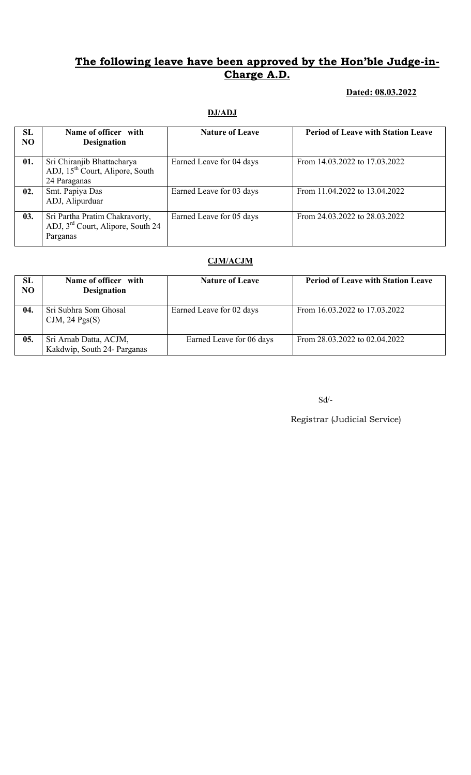#### Dated: 08.03.2022

#### DJ/ADJ

| SL<br>N <sub>O</sub> | Name of officer with<br><b>Designation</b>                                                  | <b>Nature of Leave</b>   | <b>Period of Leave with Station Leave</b> |
|----------------------|---------------------------------------------------------------------------------------------|--------------------------|-------------------------------------------|
| 01.                  | Sri Chiranjib Bhattacharya<br>ADJ, 15 <sup>th</sup> Court, Alipore, South<br>24 Paraganas   | Earned Leave for 04 days | From 14.03.2022 to 17.03.2022             |
| 02.                  | Smt. Papiya Das<br>ADJ, Alipurduar                                                          | Earned Leave for 03 days | From 11.04.2022 to 13.04.2022             |
| 03.                  | Sri Partha Pratim Chakravorty,<br>ADJ, 3 <sup>rd</sup> Court, Alipore, South 24<br>Parganas | Earned Leave for 05 days | From 24.03.2022 to 28.03.2022             |

#### CJM/ACJM

| SL<br><b>NO</b> | Name of officer with<br><b>Designation</b>            | <b>Nature of Leave</b>   | <b>Period of Leave with Station Leave</b> |
|-----------------|-------------------------------------------------------|--------------------------|-------------------------------------------|
| 04.             | Sri Subhra Som Ghosal<br>CJM, $24$ Pgs(S)             | Earned Leave for 02 days | From 16.03.2022 to 17.03.2022             |
| 05.             | Sri Arnab Datta, ACJM,<br>Kakdwip, South 24- Parganas | Earned Leave for 06 days | From 28.03.2022 to 02.04.2022             |

 $\mbox{Sd}/\mbox{-}$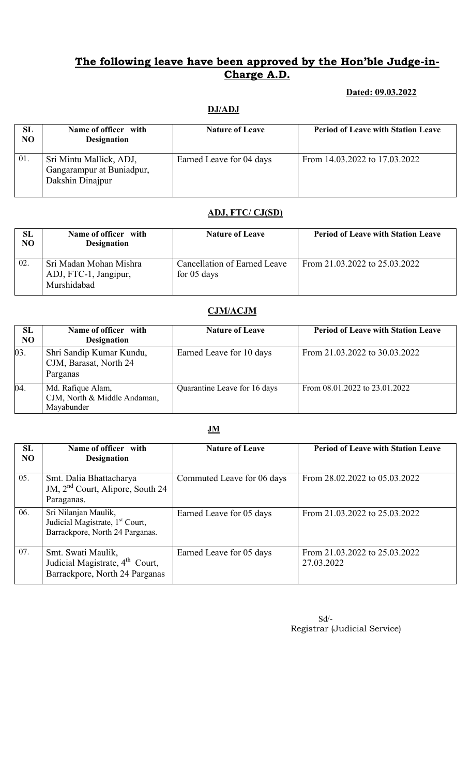#### Dated: 09.03.2022

#### DJ/ADJ

| SL<br>NO | Name of officer with<br><b>Designation</b>                               | <b>Nature of Leave</b>   | <b>Period of Leave with Station Leave</b> |
|----------|--------------------------------------------------------------------------|--------------------------|-------------------------------------------|
| 01.      | Sri Mintu Mallick, ADJ,<br>Gangarampur at Buniadpur,<br>Dakshin Dinajpur | Earned Leave for 04 days | From 14.03.2022 to 17.03.2022             |

#### ADJ, FTC/ CJ(SD)

| SL<br>N <sub>O</sub> | Name of officer with<br><b>Designation</b>                     | <b>Nature of Leave</b>                        | <b>Period of Leave with Station Leave</b> |
|----------------------|----------------------------------------------------------------|-----------------------------------------------|-------------------------------------------|
| 02                   | Sri Madan Mohan Mishra<br>ADJ, FTC-1, Jangipur,<br>Murshidabad | Cancellation of Earned Leave<br>for $05$ days | From 21.03.2022 to 25.03.2022             |

#### CJM/ACJM

| SL<br><b>NO</b> | Name of officer with<br><b>Designation</b>                      | <b>Nature of Leave</b>       | <b>Period of Leave with Station Leave</b> |
|-----------------|-----------------------------------------------------------------|------------------------------|-------------------------------------------|
| 03.             | Shri Sandip Kumar Kundu,<br>CJM, Barasat, North 24<br>Parganas  | Earned Leave for 10 days     | From 21.03.2022 to 30.03.2022             |
| 04.             | Md. Rafique Alam,<br>CJM, North & Middle Andaman,<br>Mayabunder | Quarantine Leave for 16 days | From 08.01.2022 to 23.01.2022             |

#### JM

| SL<br>N <sub>O</sub> | Name of officer with<br><b>Designation</b>                                                             | <b>Nature of Leave</b>     | <b>Period of Leave with Station Leave</b>   |
|----------------------|--------------------------------------------------------------------------------------------------------|----------------------------|---------------------------------------------|
| 05.                  | Smt. Dalia Bhattacharya<br>JM, 2 <sup>nd</sup> Court, Alipore, South 24<br>Paraganas.                  | Commuted Leave for 06 days | From 28.02.2022 to 05.03.2022               |
| 06.                  | Sri Nilanjan Maulik,<br>Judicial Magistrate, 1 <sup>st</sup> Court,<br>Barrackpore, North 24 Parganas. | Earned Leave for 05 days   | From 21.03.2022 to 25.03.2022               |
| 07.                  | Smt. Swati Maulik,<br>Judicial Magistrate, $4^{\text{th}}$ Court,<br>Barrackpore, North 24 Parganas    | Earned Leave for 05 days   | From 21.03.2022 to 25.03.2022<br>27.03.2022 |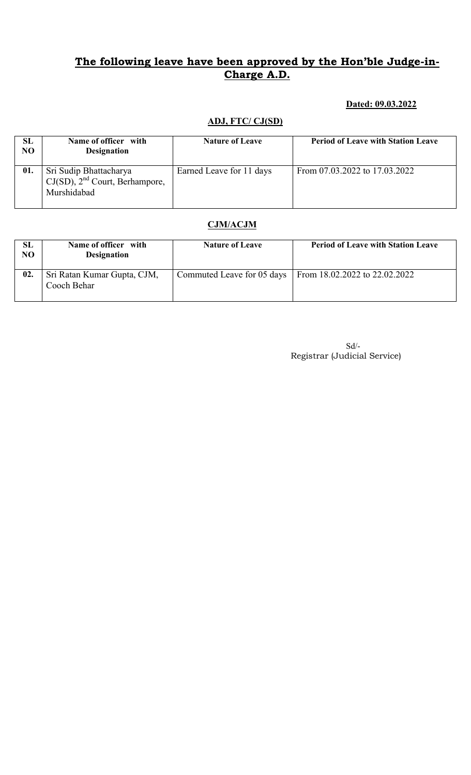#### Dated: 09.03.2022

#### ADJ, FTC/ CJ(SD)

| SL<br>N <sub>O</sub> | Name of officer with<br><b>Designation</b>                                   | <b>Nature of Leave</b>   | <b>Period of Leave with Station Leave</b> |
|----------------------|------------------------------------------------------------------------------|--------------------------|-------------------------------------------|
| 01.                  | Sri Sudip Bhattacharya<br>$CJ(SD)$ , $2nd$ Court, Berhampore,<br>Murshidabad | Earned Leave for 11 days | From 07.03.2022 to 17.03.2022             |

### CJM/ACJM

| SL<br>N <sub>O</sub> | Name of officer with<br><b>Designation</b> | <b>Nature of Leave</b>     | <b>Period of Leave with Station Leave</b> |
|----------------------|--------------------------------------------|----------------------------|-------------------------------------------|
| 02.                  | Sri Ratan Kumar Gupta, CJM,<br>Cooch Behar | Commuted Leave for 05 days | From $18.02.2022$ to $22.02.2022$         |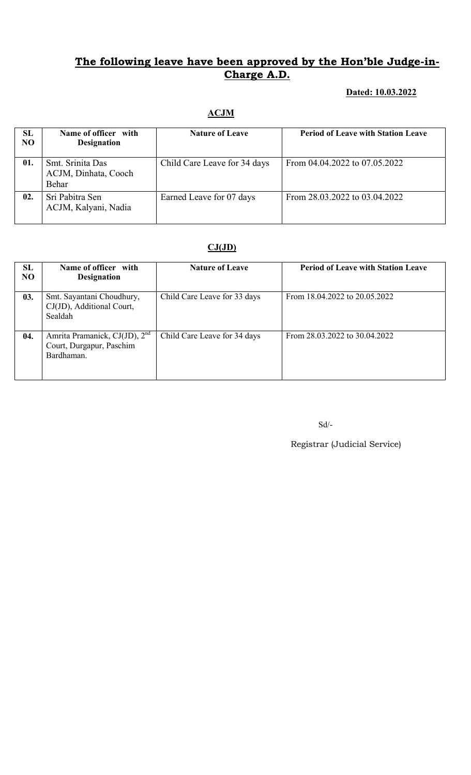#### Dated: 10.03.2022

#### ACJM

| SL<br><b>NO</b> | Name of officer with<br><b>Designation</b>        | <b>Nature of Leave</b>       | <b>Period of Leave with Station Leave</b> |
|-----------------|---------------------------------------------------|------------------------------|-------------------------------------------|
| 01.             | Smt. Srinita Das<br>ACJM, Dinhata, Cooch<br>Behar | Child Care Leave for 34 days | From 04.04.2022 to 07.05.2022             |
| 02.             | Sri Pabitra Sen<br>ACJM, Kalyani, Nadia           | Earned Leave for 07 days     | From 28.03.2022 to 03.04.2022             |

### $CJ(JD)$

| SL<br>NO | Name of officer with<br><b>Designation</b>                                          | <b>Nature of Leave</b>       | <b>Period of Leave with Station Leave</b> |
|----------|-------------------------------------------------------------------------------------|------------------------------|-------------------------------------------|
| 03.      | Smt. Sayantani Choudhury,<br>CJ(JD), Additional Court,<br>Sealdah                   | Child Care Leave for 33 days | From 18.04.2022 to 20.05.2022             |
| 04.      | Amrita Pramanick, CJ(JD), 2 <sup>nd</sup><br>Court, Durgapur, Paschim<br>Bardhaman. | Child Care Leave for 34 days | From 28.03.2022 to 30.04.2022             |

Sd/-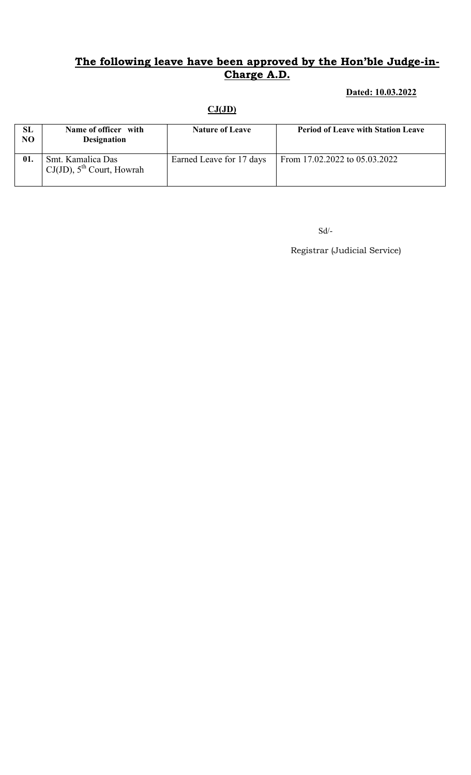### Dated: 10.03.2022

#### $CJ(JD)$

| SL<br>NO | Name of officer with<br><b>Designation</b>             | <b>Nature of Leave</b>   | <b>Period of Leave with Station Leave</b> |
|----------|--------------------------------------------------------|--------------------------|-------------------------------------------|
| 01.      | Smt. Kamalica Das<br>$CJ(JD)$ , $5^{th}$ Court, Howrah | Earned Leave for 17 days | From 17.02.2022 to 05.03.2022             |

Sd/-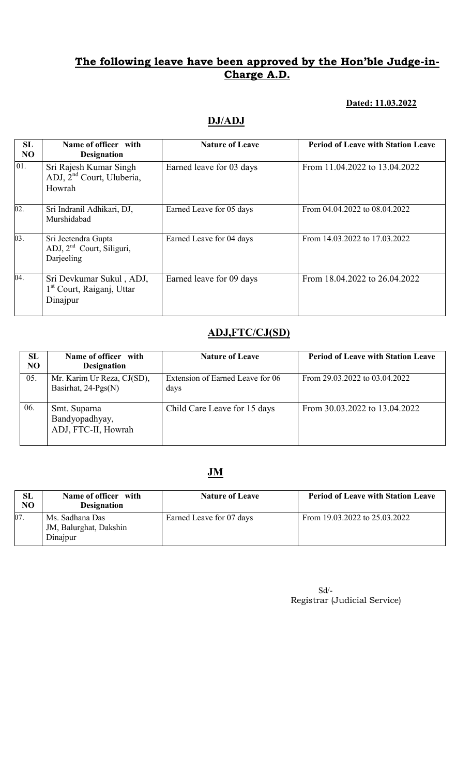#### Dated: 11.03.2022

## DJ/ADJ

| SL<br>N <sub>O</sub> | Name of officer with<br><b>Designation</b>                                    | <b>Nature of Leave</b>   | <b>Period of Leave with Station Leave</b> |
|----------------------|-------------------------------------------------------------------------------|--------------------------|-------------------------------------------|
| 01.                  | Sri Rajesh Kumar Singh<br>ADJ, 2 <sup>nd</sup> Court, Uluberia,<br>Howrah     | Earned leave for 03 days | From 11.04.2022 to 13.04.2022             |
| $\overline{02}$ .    | Sri Indranil Adhikari, DJ,<br>Murshidabad                                     | Earned Leave for 05 days | From 04.04.2022 to 08.04.2022             |
| 03.                  | Sri Jeetendra Gupta<br>ADJ, 2 <sup>nd</sup> Court, Siliguri,<br>Darjeeling    | Earned Leave for 04 days | From 14.03.2022 to 17.03.2022             |
| 04.                  | Sri Devkumar Sukul, ADJ,<br>1 <sup>st</sup> Court, Raiganj, Uttar<br>Dinajpur | Earned leave for 09 days | From 18.04.2022 to 26.04.2022             |

# ADJ,FTC/CJ(SD)

| <b>SL</b><br>N <sub>O</sub> | Name of officer with<br><b>Designation</b>            | <b>Nature of Leave</b>                   | <b>Period of Leave with Station Leave</b> |
|-----------------------------|-------------------------------------------------------|------------------------------------------|-------------------------------------------|
| 05.                         | Mr. Karim Ur Reza, CJ(SD),<br>Basirhat, 24-Pgs(N)     | Extension of Earned Leave for 06<br>days | From 29.03.2022 to 03.04.2022             |
| 06.                         | Smt. Suparna<br>Bandyopadhyay,<br>ADJ, FTC-II, Howrah | Child Care Leave for 15 days             | From 30.03.2022 to 13.04.2022             |

# JM

| SL<br>NO. | Name of officer with<br><b>Designation</b>            | <b>Nature of Leave</b>   | <b>Period of Leave with Station Leave</b> |
|-----------|-------------------------------------------------------|--------------------------|-------------------------------------------|
| 07.       | Ms. Sadhana Das<br>JM, Balurghat, Dakshin<br>Dinajpur | Earned Leave for 07 days | From 19.03.2022 to 25.03.2022             |